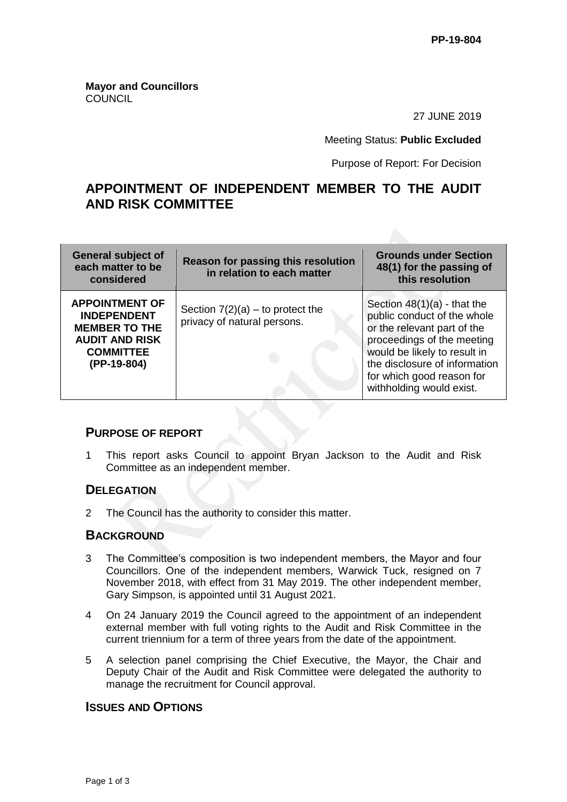**Mayor and Councillors COUNCIL** 

27 JUNE 2019

Meeting Status: **Public Excluded**

Purpose of Report: For Decision

# **APPOINTMENT OF INDEPENDENT MEMBER TO THE AUDIT AND RISK COMMITTEE**

| General subject of<br>each matter to be<br>considered                                                                           | <b>Reason for passing this resolution</b><br>in relation to each matter | <b>Grounds under Section</b><br>48(1) for the passing of<br>this resolution                                                                                                                                                                         |
|---------------------------------------------------------------------------------------------------------------------------------|-------------------------------------------------------------------------|-----------------------------------------------------------------------------------------------------------------------------------------------------------------------------------------------------------------------------------------------------|
| <b>APPOINTMENT OF</b><br><b>INDEPENDENT</b><br><b>MEMBER TO THE</b><br><b>AUDIT AND RISK</b><br><b>COMMITTEE</b><br>(PP-19-804) | Section $7(2)(a)$ – to protect the<br>privacy of natural persons.       | Section $48(1)(a)$ - that the<br>public conduct of the whole<br>or the relevant part of the<br>proceedings of the meeting<br>would be likely to result in<br>the disclosure of information<br>for which good reason for<br>withholding would exist. |

## **PURPOSE OF REPORT**

1 This report asks Council to appoint Bryan Jackson to the Audit and Risk Committee as an independent member.

#### **DELEGATION**

2 The Council has the authority to consider this matter.

#### **BACKGROUND**

- 3 The Committee's composition is two independent members, the Mayor and four Councillors. One of the independent members, Warwick Tuck, resigned on 7 November 2018, with effect from 31 May 2019. The other independent member, Gary Simpson, is appointed until 31 August 2021.
- 4 On 24 January 2019 the Council agreed to the appointment of an independent external member with full voting rights to the Audit and Risk Committee in the current triennium for a term of three years from the date of the appointment.
- 5 A selection panel comprising the Chief Executive, the Mayor, the Chair and Deputy Chair of the Audit and Risk Committee were delegated the authority to manage the recruitment for Council approval.

### **ISSUES AND OPTIONS**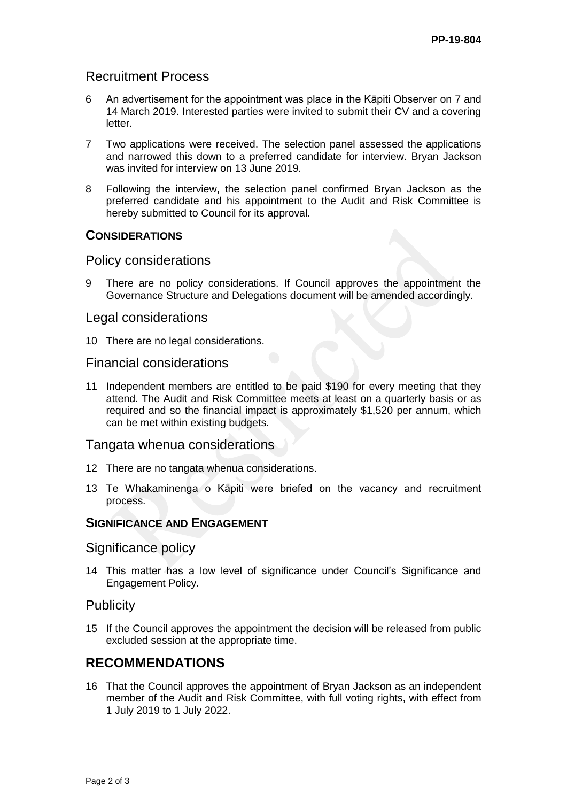# Recruitment Process

- 6 An advertisement for the appointment was place in the Kāpiti Observer on 7 and 14 March 2019. Interested parties were invited to submit their CV and a covering letter.
- 7 Two applications were received. The selection panel assessed the applications and narrowed this down to a preferred candidate for interview. Bryan Jackson was invited for interview on 13 June 2019.
- 8 Following the interview, the selection panel confirmed Bryan Jackson as the preferred candidate and his appointment to the Audit and Risk Committee is hereby submitted to Council for its approval.

### **CONSIDERATIONS**

### Policy considerations

9 There are no policy considerations. If Council approves the appointment the Governance Structure and Delegations document will be amended accordingly.

### Legal considerations

10 There are no legal considerations.

### Financial considerations

11 Independent members are entitled to be paid \$190 for every meeting that they attend. The Audit and Risk Committee meets at least on a quarterly basis or as required and so the financial impact is approximately \$1,520 per annum, which can be met within existing budgets.

#### Tangata whenua considerations

- 12 There are no tangata whenua considerations.
- 13 Te Whakaminenga o Kāpiti were briefed on the vacancy and recruitment process.

#### **SIGNIFICANCE AND ENGAGEMENT**

#### Significance policy

14 This matter has a low level of significance under Council's Significance and Engagement Policy.

## **Publicity**

15 If the Council approves the appointment the decision will be released from public excluded session at the appropriate time.

# **RECOMMENDATIONS**

16 That the Council approves the appointment of Bryan Jackson as an independent member of the Audit and Risk Committee, with full voting rights, with effect from 1 July 2019 to 1 July 2022.